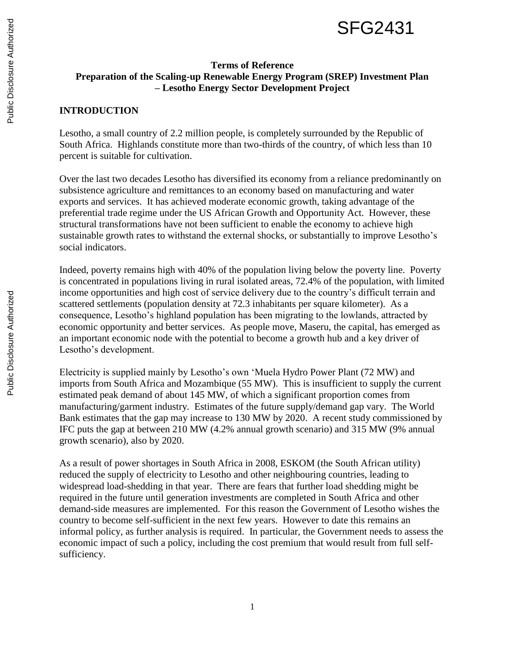

## **Terms of Reference Preparation of the Scaling-up Renewable Energy Program (SREP) Investment Plan – Lesotho Energy Sector Development Project**

## **INTRODUCTION**

Lesotho, a small country of 2.2 million people, is completely surrounded by the Republic of South Africa. Highlands constitute more than two-thirds of the country, of which less than 10 percent is suitable for cultivation.

Over the last two decades Lesotho has diversified its economy from a reliance predominantly on subsistence agriculture and remittances to an economy based on manufacturing and water exports and services. It has achieved moderate economic growth, taking advantage of the preferential trade regime under the US African Growth and Opportunity Act. However, these structural transformations have not been sufficient to enable the economy to achieve high sustainable growth rates to withstand the external shocks, or substantially to improve Lesotho's social indicators.

Indeed, poverty remains high with 40% of the population living below the poverty line. Poverty is concentrated in populations living in rural isolated areas, 72.4% of the population, with limited income opportunities and high cost of service delivery due to the country's difficult terrain and scattered settlements (population density at 72.3 inhabitants per square kilometer). As a consequence, Lesotho's highland population has been migrating to the lowlands, attracted by economic opportunity and better services. As people move, Maseru, the capital, has emerged as an important economic node with the potential to become a growth hub and a key driver of Lesotho's development.

Electricity is supplied mainly by Lesotho's own 'Muela Hydro Power Plant (72 MW) and imports from South Africa and Mozambique (55 MW). This is insufficient to supply the current estimated peak demand of about 145 MW, of which a significant proportion comes from manufacturing/garment industry. Estimates of the future supply/demand gap vary. The World Bank estimates that the gap may increase to 130 MW by 2020. A recent study commissioned by IFC puts the gap at between 210 MW (4.2% annual growth scenario) and 315 MW (9% annual growth scenario), also by 2020.

As a result of power shortages in South Africa in 2008, ESKOM (the South African utility) reduced the supply of electricity to Lesotho and other neighbouring countries, leading to widespread load-shedding in that year. There are fears that further load shedding might be required in the future until generation investments are completed in South Africa and other demand-side measures are implemented. For this reason the Government of Lesotho wishes the country to become self-sufficient in the next few years. However to date this remains an informal policy, as further analysis is required. In particular, the Government needs to assess the economic impact of such a policy, including the cost premium that would result from full selfsufficiency.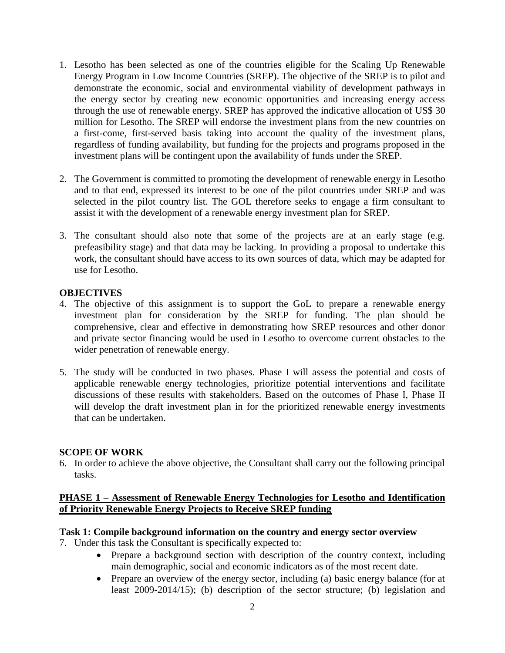- 1. Lesotho has been selected as one of the countries eligible for the Scaling Up Renewable Energy Program in Low Income Countries (SREP). The objective of the SREP is to pilot and demonstrate the economic, social and environmental viability of development pathways in the energy sector by creating new economic opportunities and increasing energy access through the use of renewable energy. SREP has approved the indicative allocation of US\$ 30 million for Lesotho. The SREP will endorse the investment plans from the new countries on a first-come, first-served basis taking into account the quality of the investment plans, regardless of funding availability, but funding for the projects and programs proposed in the investment plans will be contingent upon the availability of funds under the SREP.
- 2. The Government is committed to promoting the development of renewable energy in Lesotho and to that end, expressed its interest to be one of the pilot countries under SREP and was selected in the pilot country list. The GOL therefore seeks to engage a firm consultant to assist it with the development of a renewable energy investment plan for SREP.
- 3. The consultant should also note that some of the projects are at an early stage (e.g. prefeasibility stage) and that data may be lacking. In providing a proposal to undertake this work, the consultant should have access to its own sources of data, which may be adapted for use for Lesotho.

## **OBJECTIVES**

- 4. The objective of this assignment is to support the GoL to prepare a renewable energy investment plan for consideration by the SREP for funding. The plan should be comprehensive, clear and effective in demonstrating how SREP resources and other donor and private sector financing would be used in Lesotho to overcome current obstacles to the wider penetration of renewable energy.
- 5. The study will be conducted in two phases. Phase I will assess the potential and costs of applicable renewable energy technologies, prioritize potential interventions and facilitate discussions of these results with stakeholders. Based on the outcomes of Phase I, Phase II will develop the draft investment plan in for the prioritized renewable energy investments that can be undertaken.

### **SCOPE OF WORK**

6. In order to achieve the above objective, the Consultant shall carry out the following principal tasks.

## **PHASE 1 – Assessment of Renewable Energy Technologies for Lesotho and Identification of Priority Renewable Energy Projects to Receive SREP funding**

# **Task 1: Compile background information on the country and energy sector overview**

7. Under this task the Consultant is specifically expected to:

- Prepare a background section with description of the country context, including main demographic, social and economic indicators as of the most recent date.
- Prepare an overview of the energy sector, including (a) basic energy balance (for at least 2009-2014/15); (b) description of the sector structure; (b) legislation and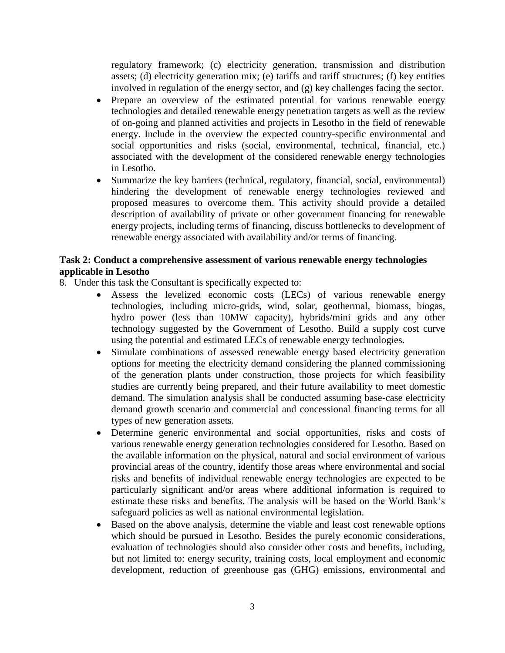regulatory framework; (c) electricity generation, transmission and distribution assets; (d) electricity generation mix; (e) tariffs and tariff structures; (f) key entities involved in regulation of the energy sector, and (g) key challenges facing the sector.

- Prepare an overview of the estimated potential for various renewable energy technologies and detailed renewable energy penetration targets as well as the review of on-going and planned activities and projects in Lesotho in the field of renewable energy. Include in the overview the expected country-specific environmental and social opportunities and risks (social, environmental, technical, financial, etc.) associated with the development of the considered renewable energy technologies in Lesotho.
- Summarize the key barriers (technical, regulatory, financial, social, environmental) hindering the development of renewable energy technologies reviewed and proposed measures to overcome them. This activity should provide a detailed description of availability of private or other government financing for renewable energy projects, including terms of financing, discuss bottlenecks to development of renewable energy associated with availability and/or terms of financing.

# **Task 2: Conduct a comprehensive assessment of various renewable energy technologies applicable in Lesotho**

- 8. Under this task the Consultant is specifically expected to:
	- Assess the levelized economic costs (LECs) of various renewable energy technologies, including micro-grids, wind, solar, geothermal, biomass, biogas, hydro power (less than 10MW capacity), hybrids/mini grids and any other technology suggested by the Government of Lesotho. Build a supply cost curve using the potential and estimated LECs of renewable energy technologies.
	- Simulate combinations of assessed renewable energy based electricity generation options for meeting the electricity demand considering the planned commissioning of the generation plants under construction, those projects for which feasibility studies are currently being prepared, and their future availability to meet domestic demand. The simulation analysis shall be conducted assuming base-case electricity demand growth scenario and commercial and concessional financing terms for all types of new generation assets.
	- Determine generic environmental and social opportunities, risks and costs of various renewable energy generation technologies considered for Lesotho. Based on the available information on the physical, natural and social environment of various provincial areas of the country, identify those areas where environmental and social risks and benefits of individual renewable energy technologies are expected to be particularly significant and/or areas where additional information is required to estimate these risks and benefits. The analysis will be based on the World Bank's safeguard policies as well as national environmental legislation.
	- Based on the above analysis, determine the viable and least cost renewable options which should be pursued in Lesotho. Besides the purely economic considerations, evaluation of technologies should also consider other costs and benefits, including, but not limited to: energy security, training costs, local employment and economic development, reduction of greenhouse gas (GHG) emissions, environmental and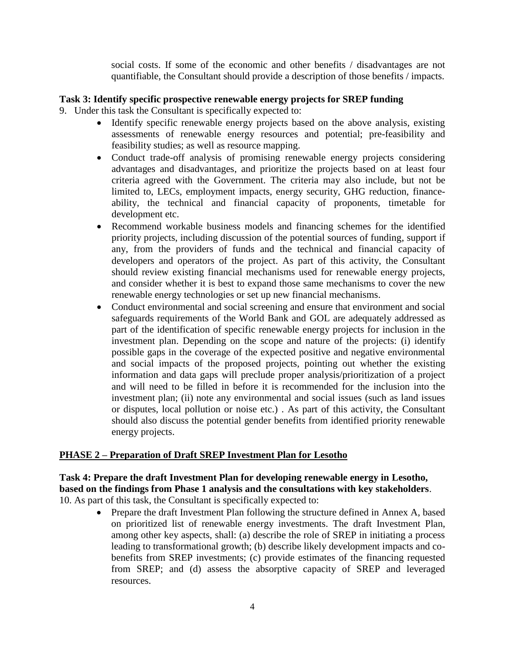social costs. If some of the economic and other benefits / disadvantages are not quantifiable, the Consultant should provide a description of those benefits / impacts.

## **Task 3: Identify specific prospective renewable energy projects for SREP funding**

- 9. Under this task the Consultant is specifically expected to:
	- Identify specific renewable energy projects based on the above analysis, existing assessments of renewable energy resources and potential; pre-feasibility and feasibility studies; as well as resource mapping.
	- Conduct trade-off analysis of promising renewable energy projects considering advantages and disadvantages, and prioritize the projects based on at least four criteria agreed with the Government. The criteria may also include, but not be limited to, LECs, employment impacts, energy security, GHG reduction, financeability, the technical and financial capacity of proponents, timetable for development etc.
	- Recommend workable business models and financing schemes for the identified priority projects, including discussion of the potential sources of funding, support if any, from the providers of funds and the technical and financial capacity of developers and operators of the project. As part of this activity, the Consultant should review existing financial mechanisms used for renewable energy projects, and consider whether it is best to expand those same mechanisms to cover the new renewable energy technologies or set up new financial mechanisms.
	- Conduct environmental and social screening and ensure that environment and social safeguards requirements of the World Bank and GOL are adequately addressed as part of the identification of specific renewable energy projects for inclusion in the investment plan. Depending on the scope and nature of the projects: (i) identify possible gaps in the coverage of the expected positive and negative environmental and social impacts of the proposed projects, pointing out whether the existing information and data gaps will preclude proper analysis/prioritization of a project and will need to be filled in before it is recommended for the inclusion into the investment plan; (ii) note any environmental and social issues (such as land issues or disputes, local pollution or noise etc.) . As part of this activity, the Consultant should also discuss the potential gender benefits from identified priority renewable energy projects.

### **PHASE 2 – Preparation of Draft SREP Investment Plan for Lesotho**

# **Task 4: Prepare the draft Investment Plan for developing renewable energy in Lesotho, based on the findings from Phase 1 analysis and the consultations with key stakeholders**.

- 10. As part of this task, the Consultant is specifically expected to:
	- Prepare the draft Investment Plan following the structure defined in Annex A, based on prioritized list of renewable energy investments. The draft Investment Plan, among other key aspects, shall: (a) describe the role of SREP in initiating a process leading to transformational growth; (b) describe likely development impacts and cobenefits from SREP investments; (c) provide estimates of the financing requested from SREP; and (d) assess the absorptive capacity of SREP and leveraged resources.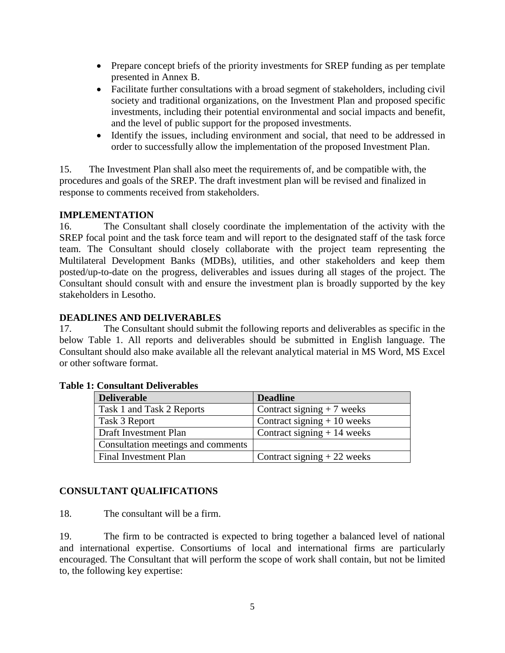- Prepare concept briefs of the priority investments for SREP funding as per template presented in Annex B.
- Facilitate further consultations with a broad segment of stakeholders, including civil society and traditional organizations, on the Investment Plan and proposed specific investments, including their potential environmental and social impacts and benefit, and the level of public support for the proposed investments.
- Identify the issues, including environment and social, that need to be addressed in order to successfully allow the implementation of the proposed Investment Plan.

15. The Investment Plan shall also meet the requirements of, and be compatible with, the procedures and goals of the SREP. The draft investment plan will be revised and finalized in response to comments received from stakeholders.

## **IMPLEMENTATION**

16. The Consultant shall closely coordinate the implementation of the activity with the SREP focal point and the task force team and will report to the designated staff of the task force team. The Consultant should closely collaborate with the project team representing the Multilateral Development Banks (MDBs), utilities, and other stakeholders and keep them posted/up-to-date on the progress, deliverables and issues during all stages of the project. The Consultant should consult with and ensure the investment plan is broadly supported by the key stakeholders in Lesotho.

## **DEADLINES AND DELIVERABLES**

17. The Consultant should submit the following reports and deliverables as specific in the below Table 1. All reports and deliverables should be submitted in English language. The Consultant should also make available all the relevant analytical material in MS Word, MS Excel or other software format.

| <b>Deliverable</b>                 | <b>Deadline</b>              |
|------------------------------------|------------------------------|
| Task 1 and Task 2 Reports          | Contract signing $+7$ weeks  |
| Task 3 Report                      | Contract signing $+10$ weeks |
| Draft Investment Plan              | Contract signing $+14$ weeks |
| Consultation meetings and comments |                              |
| Final Investment Plan              | Contract signing $+22$ weeks |

### **Table 1: Consultant Deliverables**

### **CONSULTANT QUALIFICATIONS**

18. The consultant will be a firm.

19. The firm to be contracted is expected to bring together a balanced level of national and international expertise. Consortiums of local and international firms are particularly encouraged. The Consultant that will perform the scope of work shall contain, but not be limited to, the following key expertise: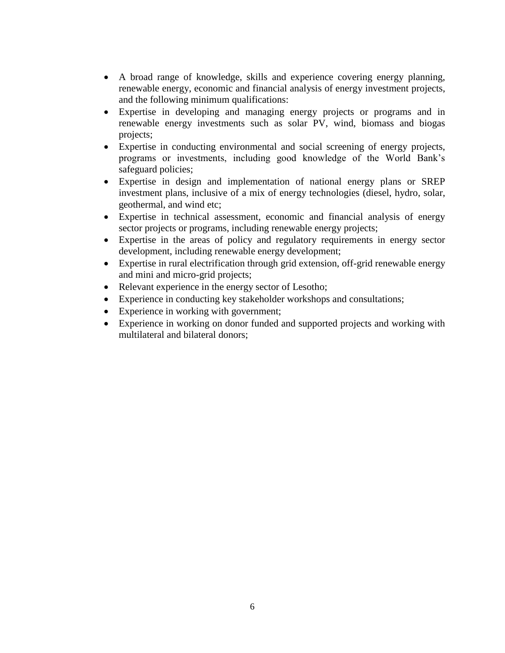- A broad range of knowledge, skills and experience covering energy planning, renewable energy, economic and financial analysis of energy investment projects, and the following minimum qualifications:
- Expertise in developing and managing energy projects or programs and in renewable energy investments such as solar PV, wind, biomass and biogas projects;
- Expertise in conducting environmental and social screening of energy projects, programs or investments, including good knowledge of the World Bank's safeguard policies;
- Expertise in design and implementation of national energy plans or SREP investment plans, inclusive of a mix of energy technologies (diesel, hydro, solar, geothermal, and wind etc;
- Expertise in technical assessment, economic and financial analysis of energy sector projects or programs, including renewable energy projects;
- Expertise in the areas of policy and regulatory requirements in energy sector development, including renewable energy development;
- Expertise in rural electrification through grid extension, off-grid renewable energy and mini and micro-grid projects;
- Relevant experience in the energy sector of Lesotho;
- Experience in conducting key stakeholder workshops and consultations;
- Experience in working with government;
- Experience in working on donor funded and supported projects and working with multilateral and bilateral donors;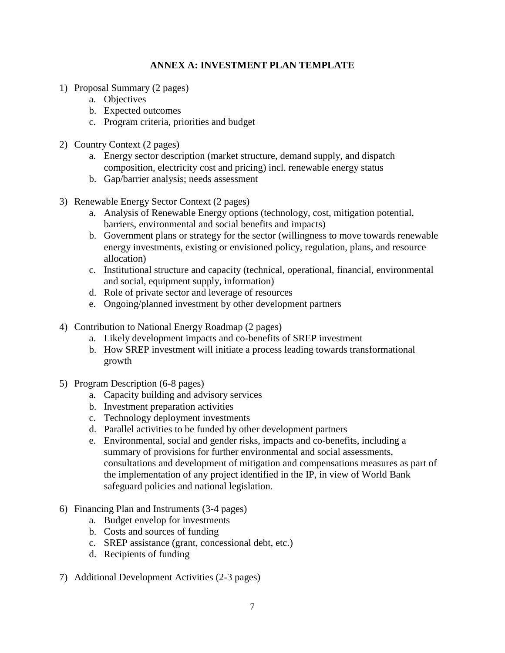# **ANNEX A: INVESTMENT PLAN TEMPLATE**

- 1) Proposal Summary (2 pages)
	- a. Objectives
	- b. Expected outcomes
	- c. Program criteria, priorities and budget
- 2) Country Context (2 pages)
	- a. Energy sector description (market structure, demand supply, and dispatch composition, electricity cost and pricing) incl. renewable energy status
	- b. Gap/barrier analysis; needs assessment
- 3) Renewable Energy Sector Context (2 pages)
	- a. Analysis of Renewable Energy options (technology, cost, mitigation potential, barriers, environmental and social benefits and impacts)
	- b. Government plans or strategy for the sector (willingness to move towards renewable energy investments, existing or envisioned policy, regulation, plans, and resource allocation)
	- c. Institutional structure and capacity (technical, operational, financial, environmental and social, equipment supply, information)
	- d. Role of private sector and leverage of resources
	- e. Ongoing/planned investment by other development partners
- 4) Contribution to National Energy Roadmap (2 pages)
	- a. Likely development impacts and co-benefits of SREP investment
	- b. How SREP investment will initiate a process leading towards transformational growth
- 5) Program Description (6-8 pages)
	- a. Capacity building and advisory services
	- b. Investment preparation activities
	- c. Technology deployment investments
	- d. Parallel activities to be funded by other development partners
	- e. Environmental, social and gender risks, impacts and co-benefits, including a summary of provisions for further environmental and social assessments, consultations and development of mitigation and compensations measures as part of the implementation of any project identified in the IP, in view of World Bank safeguard policies and national legislation.
- 6) Financing Plan and Instruments (3-4 pages)
	- a. Budget envelop for investments
	- b. Costs and sources of funding
	- c. SREP assistance (grant, concessional debt, etc.)
	- d. Recipients of funding
- 7) Additional Development Activities (2-3 pages)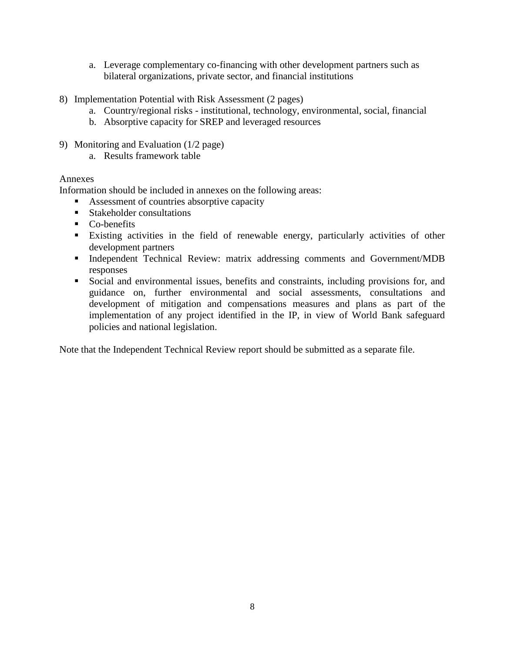- a. Leverage complementary co-financing with other development partners such as bilateral organizations, private sector, and financial institutions
- 8) Implementation Potential with Risk Assessment (2 pages)
	- a. Country/regional risks institutional, technology, environmental, social, financial
	- b. Absorptive capacity for SREP and leveraged resources
- 9) Monitoring and Evaluation (1/2 page)
	- a. Results framework table

### Annexes

Information should be included in annexes on the following areas:

- Assessment of countries absorptive capacity
- **Stakeholder consultations**
- Co-benefits
- Existing activities in the field of renewable energy, particularly activities of other development partners
- Independent Technical Review: matrix addressing comments and Government/MDB responses
- Social and environmental issues, benefits and constraints, including provisions for, and guidance on, further environmental and social assessments, consultations and development of mitigation and compensations measures and plans as part of the implementation of any project identified in the IP, in view of World Bank safeguard policies and national legislation.

Note that the Independent Technical Review report should be submitted as a separate file.